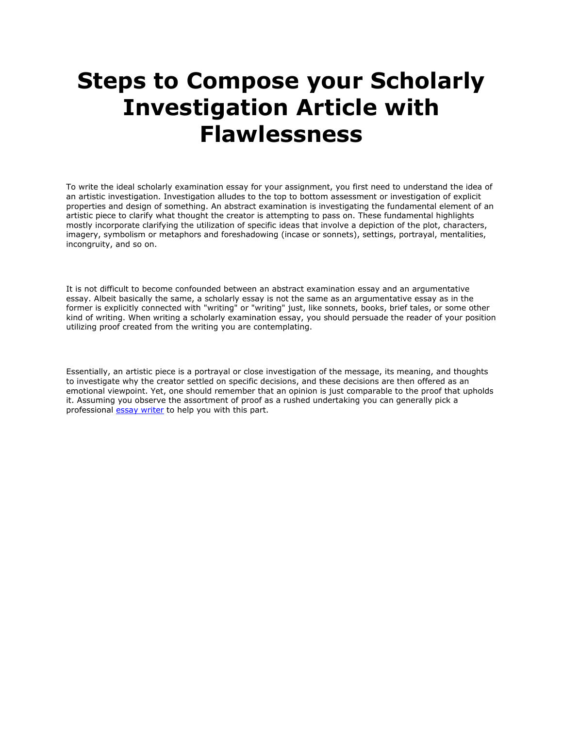## **Steps to Compose your Scholarly Investigation Article with Flawlessness**

To write the ideal scholarly examination essay for your assignment, you first need to understand the idea of an artistic investigation. Investigation alludes to the top to bottom assessment or investigation of explicit properties and design of something. An abstract examination is investigating the fundamental element of an artistic piece to clarify what thought the creator is attempting to pass on. These fundamental highlights mostly incorporate clarifying the utilization of specific ideas that involve a depiction of the plot, characters, imagery, symbolism or metaphors and foreshadowing (incase or sonnets), settings, portrayal, mentalities, incongruity, and so on.

It is not difficult to become confounded between an abstract examination essay and an argumentative essay. Albeit basically the same, a scholarly essay is not the same as an argumentative essay as in the former is explicitly connected with "writing" or "writing" just, like sonnets, books, brief tales, or some other kind of writing. When writing a scholarly examination essay, you should persuade the reader of your position utilizing proof created from the writing you are contemplating.

Essentially, an artistic piece is a portrayal or close investigation of the message, its meaning, and thoughts to investigate why the creator settled on specific decisions, and these decisions are then offered as an emotional viewpoint. Yet, one should remember that an opinion is just comparable to the proof that upholds it. Assuming you observe the assortment of proof as a rushed undertaking you can generally pick a professional **[essay writer](https://www.5staressays.com/)** to help you with this part.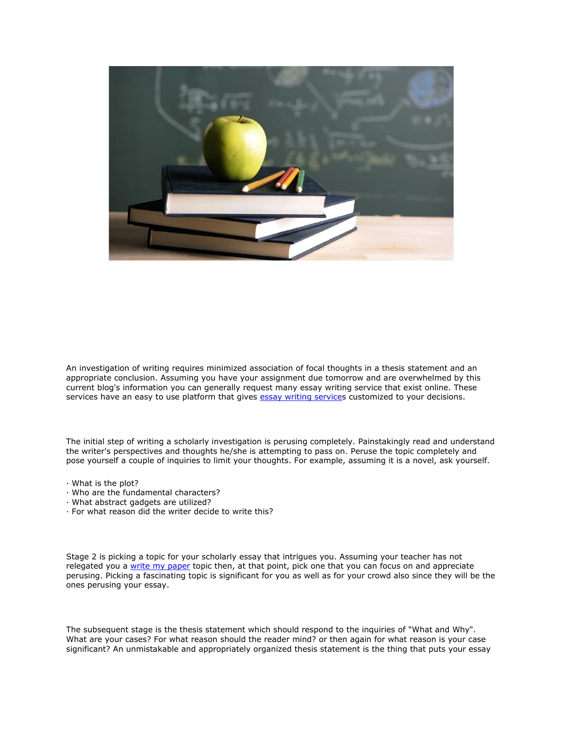

An investigation of writing requires minimized association of focal thoughts in a thesis statement and an appropriate conclusion. Assuming you have your assignment due tomorrow and are overwhelmed by this current blog's information you can generally request many essay writing service that exist online. These services have an easy to use platform that gives [essay writing services](https://www.myperfectwords.com/) customized to your decisions.

The initial step of writing a scholarly investigation is perusing completely. Painstakingly read and understand the writer's perspectives and thoughts he/she is attempting to pass on. Peruse the topic completely and pose yourself a couple of inquiries to limit your thoughts. For example, assuming it is a novel, ask yourself.

- · What is the plot?
- · Who are the fundamental characters?
- · What abstract gadgets are utilized?
- · For what reason did the writer decide to write this?

Stage 2 is picking a topic for your scholarly essay that intrigues you. Assuming your teacher has not relegated you a [write my paper](https://www.myperfectpaper.net/) topic then, at that point, pick one that you can focus on and appreciate perusing. Picking a fascinating topic is significant for you as well as for your crowd also since they will be the ones perusing your essay.

The subsequent stage is the thesis statement which should respond to the inquiries of "What and Why". What are your cases? For what reason should the reader mind? or then again for what reason is your case significant? An unmistakable and appropriately organized thesis statement is the thing that puts your essay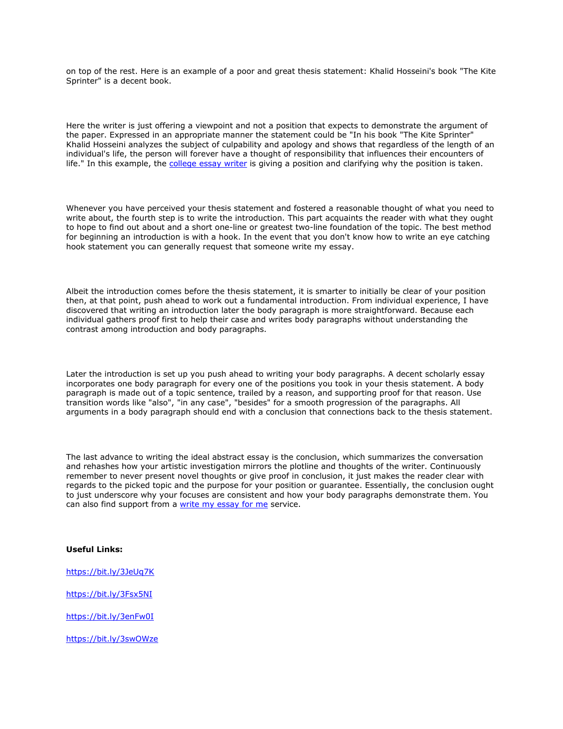on top of the rest. Here is an example of a poor and great thesis statement: Khalid Hosseini's book "The Kite Sprinter" is a decent book.

Here the writer is just offering a viewpoint and not a position that expects to demonstrate the argument of the paper. Expressed in an appropriate manner the statement could be "In his book "The Kite Sprinter" Khalid Hosseini analyzes the subject of culpability and apology and shows that regardless of the length of an individual's life, the person will forever have a thought of responsibility that influences their encounters of life." In this example, the [college essay writer](https://www.collegeessay.org/) is giving a position and clarifying why the position is taken.

Whenever you have perceived your thesis statement and fostered a reasonable thought of what you need to write about, the fourth step is to write the introduction. This part acquaints the reader with what they ought to hope to find out about and a short one-line or greatest two-line foundation of the topic. The best method for beginning an introduction is with a hook. In the event that you don't know how to write an eye catching hook statement you can generally request that someone write my essay.

Albeit the introduction comes before the thesis statement, it is smarter to initially be clear of your position then, at that point, push ahead to work out a fundamental introduction. From individual experience, I have discovered that writing an introduction later the body paragraph is more straightforward. Because each individual gathers proof first to help their case and writes body paragraphs without understanding the contrast among introduction and body paragraphs.

Later the introduction is set up you push ahead to writing your body paragraphs. A decent scholarly essay incorporates one body paragraph for every one of the positions you took in your thesis statement. A body paragraph is made out of a topic sentence, trailed by a reason, and supporting proof for that reason. Use transition words like "also", "in any case", "besides" for a smooth progression of the paragraphs. All arguments in a body paragraph should end with a conclusion that connections back to the thesis statement.

The last advance to writing the ideal abstract essay is the conclusion, which summarizes the conversation and rehashes how your artistic investigation mirrors the plotline and thoughts of the writer. Continuously remember to never present novel thoughts or give proof in conclusion, it just makes the reader clear with regards to the picked topic and the purpose for your position or guarantee. Essentially, the conclusion ought to just underscore why your focuses are consistent and how your body paragraphs demonstrate them. You can also find support from a [write my essay for me](https://www.writemyessay.help/) service.

## **Useful Links:**

<https://bit.ly/3JeUq7K>

<https://bit.ly/3Fsx5NI>

<https://bit.ly/3enFw0I>

<https://bit.ly/3swOWze>